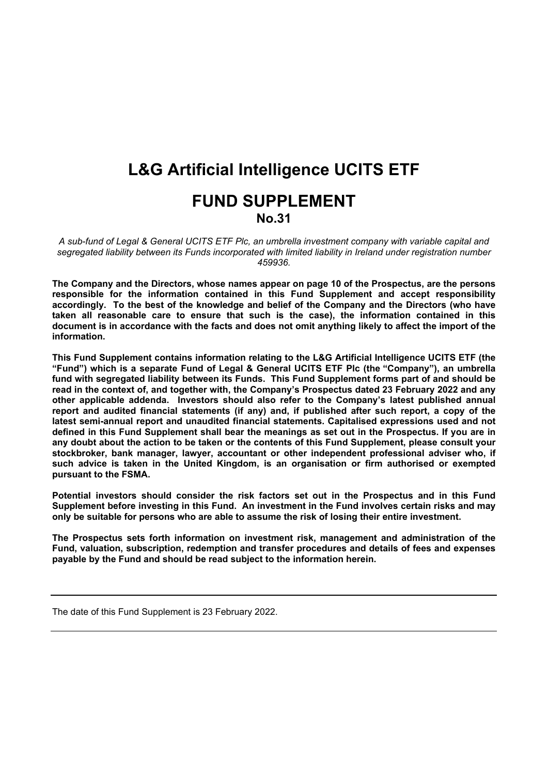# **L&G Artificial Intelligence UCITS ETF FUND SUPPLEMENT No.31**

*A sub-fund of Legal & General UCITS ETF Plc, an umbrella investment company with variable capital and segregated liability between its Funds incorporated with limited liability in Ireland under registration number 459936.*

**The Company and the Directors, whose names appear on page 10 of the Prospectus, are the persons responsible for the information contained in this Fund Supplement and accept responsibility accordingly. To the best of the knowledge and belief of the Company and the Directors (who have taken all reasonable care to ensure that such is the case), the information contained in this** document is in accordance with the facts and does not omit anything likely to affect the import of the **information.**

**This Fund Supplement contains information relating to the L&G Artificial Intelligence UCITS ETF (the "Fund") which is a separate Fund of Legal & General UCITS ETF Plc (the "Company"), an umbrella fund with segregated liability between its Funds. This Fund Supplement forms part of and should be read in the context of, and together with, the Company's Prospectus dated 23 February 2022 and any other applicable addenda. Investors should also refer to the Company's latest published annual report and audited financial statements (if any) and, if published after such report, a copy of the latest semi-annual report and unaudited financial statements. Capitalised expressions used and not** defined in this Fund Supplement shall bear the meanings as set out in the Prospectus. If you are in any doubt about the action to be taken or the contents of this Fund Supplement, please consult your **stockbroker, bank manager, lawyer, accountant or other independent professional adviser who, if such advice is taken in the United Kingdom, is an organisation or firm authorised or exempted pursuant to the FSMA.**

**Potential investors should consider the risk factors set out in the Prospectus and in this Fund Supplement before investing in this Fund. An investment in the Fund involves certain risks and may only be suitable for persons who are able to assume the risk of losing their entire investment.**

**The Prospectus sets forth information on investment risk, management and administration of the Fund, valuation, subscription, redemption and transfer procedures and details of fees and expenses payable by the Fund and should be read subject to the information herein.** 

The date of this Fund Supplement is 23 February 2022.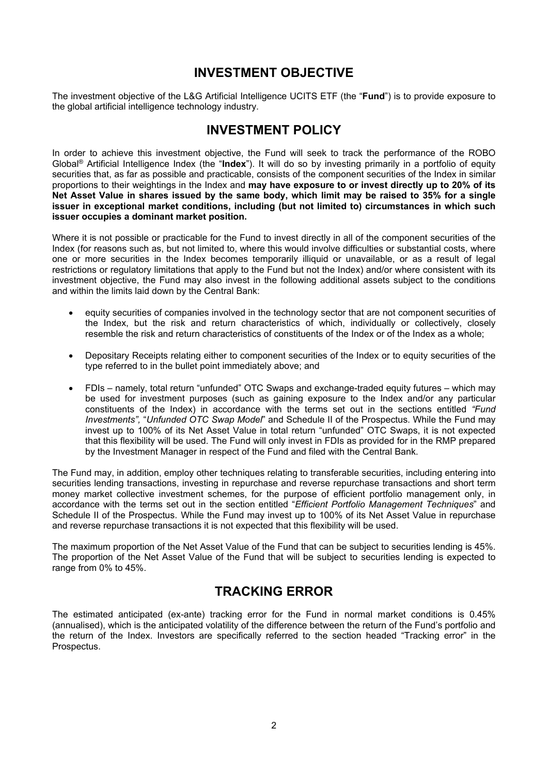### **INVESTMENT OBJECTIVE**

The investment objective of the L&G Artificial Intelligence UCITS ETF (the "**Fund**") is to provide exposure to the global artificial intelligence technology industry.

# **INVESTMENT POLICY**

In order to achieve this investment objective, the Fund will seek to track the performance of the ROBO Global® Artificial Intelligence Index (the "**Index**"). It will do so by investing primarily in a portfolio of equity securities that, as far as possible and practicable, consists of the component securities of the Index in similar proportions to their weightings in the Index and **may have exposure to or invest directly up to 20% of its** Net Asset Value in shares issued by the same body, which limit may be raised to 35% for a single **issuer in exceptional market conditions, including (but not limited to) circumstances in which such issuer occupies a dominant market position.**

Where it is not possible or practicable for the Fund to invest directly in all of the component securities of the Index (for reasons such as, but not limited to, where this would involve difficulties or substantial costs, where one or more securities in the Index becomes temporarily illiquid or unavailable, or as a result of legal restrictions or regulatory limitations that apply to the Fund but not the Index) and/or where consistent with its investment objective, the Fund may also invest in the following additional assets subject to the conditions and within the limits laid down by the Central Bank:

- equity securities of companies involved in the technology sector that are not component securities of the Index, but the risk and return characteristics of which, individually or collectively, closely resemble the risk and return characteristics of constituents of the Index or of the Index as a whole;
- Depositary Receipts relating either to component securities of the Index or to equity securities of the type referred to in the bullet point immediately above; and
- FDIs namely, total return "unfunded" OTC Swaps and exchange-traded equity futures which may be used for investment purposes (such as gaining exposure to the Index and/or any particular constituents of the Index) in accordance with the terms set out in the sections entitled *"Fund Investments",* "*Unfunded OTC Swap Model*" and Schedule II of the Prospectus. While the Fund may invest up to 100% of its Net Asset Value in total return "unfunded" OTC Swaps, it is not expected that this flexibility will be used. The Fund will only invest in FDIs as provided for in the RMP prepared by the Investment Manager in respect of the Fund and filed with the Central Bank.

The Fund may, in addition, employ other techniques relating to transferable securities, including entering into securities lending transactions, investing in repurchase and reverse repurchase transactions and short term money market collective investment schemes, for the purpose of efficient portfolio management only, in accordance with the terms set out in the section entitled "*Efficient Portfolio Management Techniques*" and Schedule II of the Prospectus. While the Fund may invest up to 100% of its Net Asset Value in repurchase and reverse repurchase transactions it is not expected that this flexibility will be used.

The maximum proportion of the Net Asset Value of the Fund that can be subject to securities lending is 45%. The proportion of the Net Asset Value of the Fund that will be subject to securities lending is expected to range from 0% to 45%.

## **TRACKING ERROR**

The estimated anticipated (ex-ante) tracking error for the Fund in normal market conditions is 0.45% (annualised), which is the anticipated volatility of the difference between the return of the Fund's portfolio and the return of the Index. Investors are specifically referred to the section headed "Tracking error" in the Prospectus.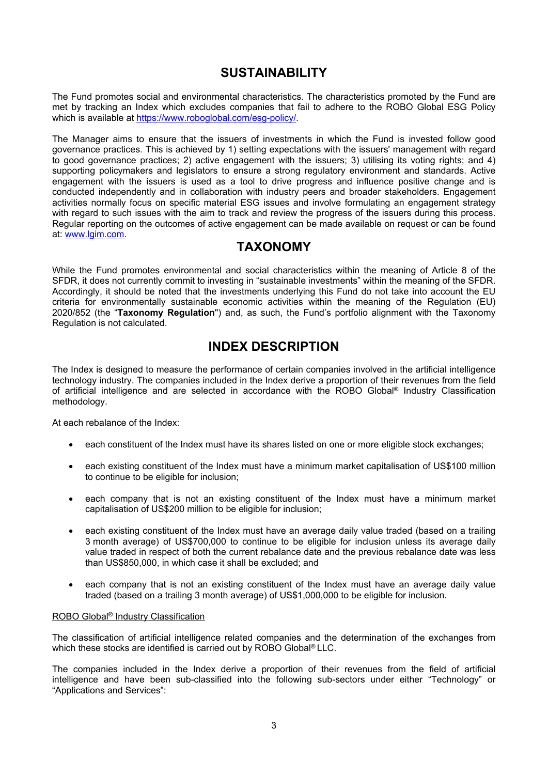## **SUSTAINABILITY**

The Fund promotes social and environmental characteristics. The characteristics promoted by the Fund are met by tracking an Index which excludes companies that fail to adhere to the ROBO Global ESG Policy which is available at [https://www.roboglobal.com/esg-policy/.](https://www.roboglobal.com/esg-policy/)

The Manager aims to ensure that the issuers of investments in which the Fund is invested follow good governance practices. This is achieved by 1) setting expectations with the issuers' management with regard to good governance practices; 2) active engagement with the issuers; 3) utilising its voting rights; and 4) supporting policymakers and legislators to ensure a strong regulatory environment and standards. Active engagement with the issuers is used as a tool to drive progress and influence positive change and is conducted independently and in collaboration with industry peers and broader stakeholders. Engagement activities normally focus on specific material ESG issues and involve formulating an engagement strategy with regard to such issues with the aim to track and review the progress of the issuers during this process. Regular reporting on the outcomes of active engagement can be made available on request or can be found at: [www.lgim.com](https://eur03.safelinks.protection.outlook.com/?url=http%3A%2F%2Fwww.lgim.com%2F&data=04%7C01%7CEliza.Ruddy%40lgim.com%7Ce086a20842c84f1301b008d8ccf7a064%7Cd246baabcc004ed2bc4ef8a46cbc590d%7C0%7C0%7C637484711205446679%7CUnknown%7CTWFpbGZsb3d8eyJWIjoiMC4wLjAwMDAiLCJQIjoiV2luMzIiLCJBTiI6Ik1haWwiLCJXVCI6Mn0%3D%7C1000&sdata=R6FKZDSBDWvzOmay7OEPMexWEUA2HZdkEFwKOofiW%2FM%3D&reserved=0).

### **TAXONOMY**

While the Fund promotes environmental and social characteristics within the meaning of Article 8 of the SFDR, it does not currently commit to investing in "sustainable investments" within the meaning of the SFDR. Accordingly, it should be noted that the investments underlying this Fund do not take into account the EU criteria for environmentally sustainable economic activities within the meaning of the Regulation (EU) 2020/852 (the "**Taxonomy Regulation**") and, as such, the Fund's portfolio alignment with the Taxonomy Regulation is not calculated.

### **INDEX DESCRIPTION**

The Index is designed to measure the performance of certain companies involved in the artificial intelligence technology industry. The companies included in the Index derive a proportion of their revenues from the field of artificial intelligence and are selected in accordance with the ROBO Global® Industry Classification methodology.

At each rebalance of the Index:

- each constituent of the Index must have its shares listed on one or more eligible stock exchanges;
- each existing constituent of the Index must have a minimum market capitalisation of US\$100 million to continue to be eligible for inclusion;
- each company that is not an existing constituent of the Index must have a minimum market capitalisation of US\$200 million to be eligible for inclusion;
- each existing constituent of the Index must have an average daily value traded (based on a trailing 3 month average) of US\$700,000 to continue to be eligible for inclusion unless its average daily value traded in respect of both the current rebalance date and the previous rebalance date was less than US\$850,000, in which case it shall be excluded; and
- each company that is not an existing constituent of the Index must have an average daily value traded (based on a trailing 3 month average) of US\$1,000,000 to be eligible for inclusion.

#### ROBO Global® Industry Classification

The classification of artificial intelligence related companies and the determination of the exchanges from which these stocks are identified is carried out by ROBO Global® LLC.

The companies included in the Index derive a proportion of their revenues from the field of artificial intelligence and have been sub-classified into the following sub-sectors under either "Technology" or "Applications and Services":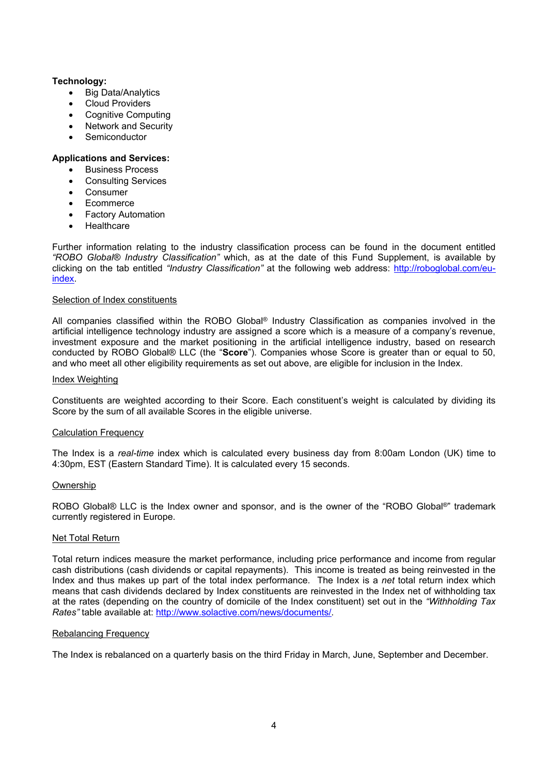#### **Technology:**

- Big Data/Analytics
- Cloud Providers
- Cognitive Computing
- Network and Security
- **Semiconductor**

#### **Applications and Services:**

- Business Process
- Consulting Services
- Consumer
- Ecommerce
- Factory Automation
- **Healthcare**

Further information relating to the industry classification process can be found in the document entitled *"ROBO Global® Industry Classification"* which, as at the date of this Fund Supplement, is available by clicking on the tab entitled *"Industry Classification"* at the following web address: [http://roboglobal.com/eu](http://roboglobal.com/eu-index)[index.](http://roboglobal.com/eu-index)

#### Selection of Index constituents

All companies classified within the ROBO Global<sup>®</sup> Industry Classification as companies involved in the artificial intelligence technology industry are assigned a score which is a measure of a company's revenue, investment exposure and the market positioning in the artificial intelligence industry, based on research conducted by ROBO Global® LLC (the "**Score**"). Companies whose Score is greater than or equal to 50, and who meet all other eligibility requirements as set out above, are eligible for inclusion in the Index.

#### Index Weighting

Constituents are weighted according to their Score. Each constituent's weight is calculated by dividing its Score by the sum of all available Scores in the eligible universe.

#### Calculation Frequency

The Index is a *real-time* index which is calculated every business day from 8:00am London (UK) time to 4:30pm, EST (Eastern Standard Time). It is calculated every 15 seconds.

#### Ownership

ROBO Global® LLC is the Index owner and sponsor, and is the owner of the "ROBO Global®" trademark currently registered in Europe.

#### **Net Total Return**

Total return indices measure the market performance, including price performance and income from regular cash distributions (cash dividends or capital repayments). This income is treated as being reinvested in the Index and thus makes up part of the total index performance. The Index is a *net* total return index which means that cash dividends declared by Index constituents are reinvested in the Index net of withholding tax at the rates (depending on the country of domicile of the Index constituent) set out in the *"Withholding Tax Rates"* table available at: <http://www.solactive.com/news/documents/>.

#### Rebalancing Frequency

The Index is rebalanced on a quarterly basis on the third Friday in March, June, September and December.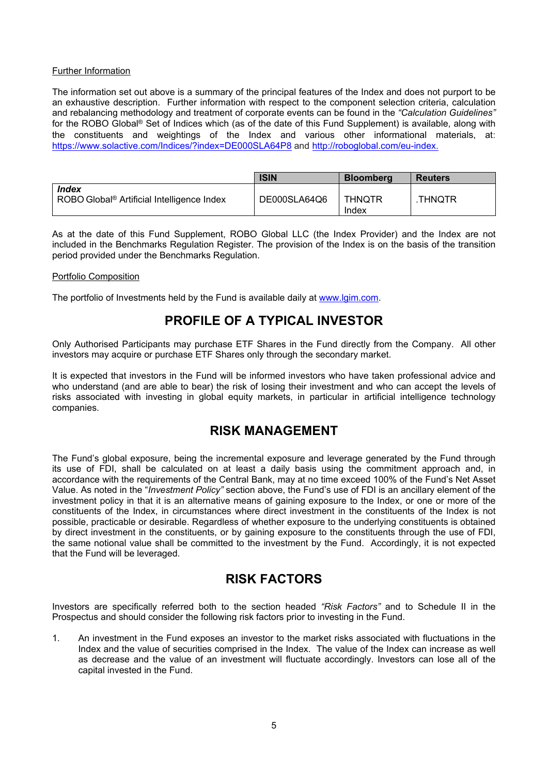#### Further Information

The information set out above is a summary of the principal features of the Index and does not purport to be an exhaustive description. Further information with respect to the component selection criteria, calculation and rebalancing methodology and treatment of corporate events can be found in the *"Calculation Guidelines"* for the ROBO Global® Set of Indices which (as of the date of this Fund Supplement) is available, along with the constituents and weightings of the Index and various other informational materials, at: <https://www.solactive.com/Indices/?index=DE000SLA64P8> and [http://roboglobal.com/eu-index.](http://roboglobal.com/eu-index)

|                                                                        | <b>ISIN</b>  | <b>Bloomberg</b> | <b>Reuters</b> |
|------------------------------------------------------------------------|--------------|------------------|----------------|
| <b>Index</b><br>ROBO Global <sup>®</sup> Artificial Intelligence Index | DE000SLA64Q6 | THNQTR<br>Index  | .THNQTR        |

As at the date of this Fund Supplement, ROBO Global LLC (the Index Provider) and the Index are not included in the Benchmarks Regulation Register. The provision of the Index is on the basis of the transition period provided under the Benchmarks Regulation.

#### Portfolio Composition

The portfolio of Investments held by the Fund is available daily at [www.lgim.com](http://www.lgim.com/).

### **PROFILE OF A TYPICAL INVESTOR**

Only Authorised Participants may purchase ETF Shares in the Fund directly from the Company. All other investors may acquire or purchase ETF Shares only through the secondary market.

It is expected that investors in the Fund will be informed investors who have taken professional advice and who understand (and are able to bear) the risk of losing their investment and who can accept the levels of risks associated with investing in global equity markets, in particular in artificial intelligence technology companies.

### **RISK MANAGEMENT**

The Fund's global exposure, being the incremental exposure and leverage generated by the Fund through its use of FDI, shall be calculated on at least a daily basis using the commitment approach and, in accordance with the requirements of the Central Bank, may at no time exceed 100% of the Fund's Net Asset Value. As noted in the "*Investment Policy"* section above, the Fund's use of FDI is an ancillary element of the investment policy in that it is an alternative means of gaining exposure to the Index, or one or more of the constituents of the Index, in circumstances where direct investment in the constituents of the Index is not possible, practicable or desirable. Regardless of whether exposure to the underlying constituents is obtained by direct investment in the constituents, or by gaining exposure to the constituents through the use of FDI, the same notional value shall be committed to the investment by the Fund. Accordingly, it is not expected that the Fund will be leveraged.

## **RISK FACTORS**

Investors are specifically referred both to the section headed *"Risk Factors"* and to Schedule II in the Prospectus and should consider the following risk factors prior to investing in the Fund.

1. An investment in the Fund exposes an investor to the market risks associated with fluctuations in the Index and the value of securities comprised in the Index. The value of the Index can increase as well as decrease and the value of an investment will fluctuate accordingly. Investors can lose all of the capital invested in the Fund.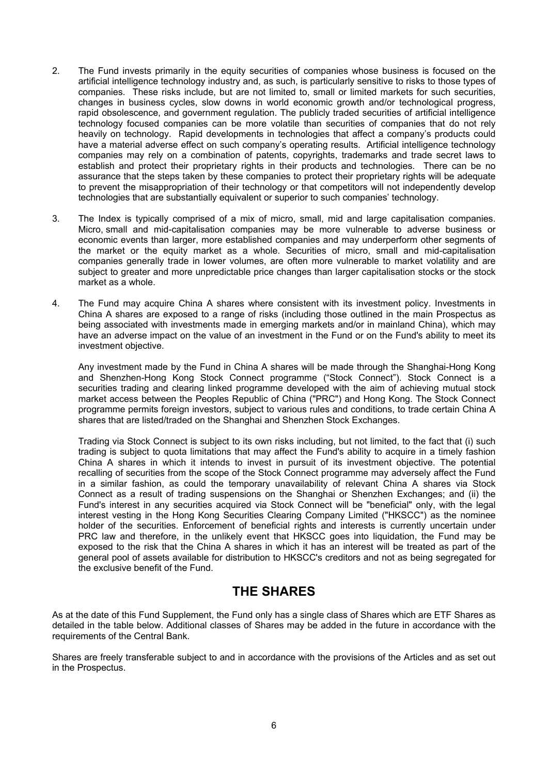- 2. The Fund invests primarily in the equity securities of companies whose business is focused on the artificial intelligence technology industry and, as such, is particularly sensitive to risks to those types of companies. These risks include, but are not limited to, small or limited markets for such securities, changes in business cycles, slow downs in world economic growth and/or technological progress, rapid obsolescence, and government regulation. The publicly traded securities of artificial intelligence technology focused companies can be more volatile than securities of companies that do not rely heavily on technology. Rapid developments in technologies that affect a company's products could have a material adverse effect on such company's operating results. Artificial intelligence technology companies may rely on a combination of patents, copyrights, trademarks and trade secret laws to establish and protect their proprietary rights in their products and technologies. There can be no assurance that the steps taken by these companies to protect their proprietary rights will be adequate to prevent the misappropriation of their technology or that competitors will not independently develop technologies that are substantially equivalent or superior to such companies' technology.
- 3. The Index is typically comprised of a mix of micro, small, mid and large capitalisation companies. Micro, small and mid-capitalisation companies may be more vulnerable to adverse business or economic events than larger, more established companies and may underperform other segments of the market or the equity market as a whole. Securities of micro, small and mid-capitalisation companies generally trade in lower volumes, are often more vulnerable to market volatility and are subject to greater and more unpredictable price changes than larger capitalisation stocks or the stock market as a whole.
- 4. The Fund may acquire China A shares where consistent with its investment policy. Investments in China A shares are exposed to a range of risks (including those outlined in the main Prospectus as being associated with investments made in emerging markets and/or in mainland China), which may have an adverse impact on the value of an investment in the Fund or on the Fund's ability to meet its investment objective.

Any investment made by the Fund in China A shares will be made through the Shanghai-Hong Kong and Shenzhen-Hong Kong Stock Connect programme ("Stock Connect"). Stock Connect is a securities trading and clearing linked programme developed with the aim of achieving mutual stock market access between the Peoples Republic of China ("PRC") and Hong Kong. The Stock Connect programme permits foreign investors, subject to various rules and conditions, to trade certain China A shares that are listed/traded on the Shanghai and Shenzhen Stock Exchanges.

Trading via Stock Connect is subject to its own risks including, but not limited, to the fact that (i) such trading is subject to quota limitations that may affect the Fund's ability to acquire in a timely fashion China A shares in which it intends to invest in pursuit of its investment objective. The potential recalling of securities from the scope of the Stock Connect programme may adversely affect the Fund in a similar fashion, as could the temporary unavailability of relevant China A shares via Stock Connect as a result of trading suspensions on the Shanghai or Shenzhen Exchanges; and (ii) the Fund's interest in any securities acquired via Stock Connect will be "beneficial" only, with the legal interest vesting in the Hong Kong Securities Clearing Company Limited ("HKSCC") as the nominee holder of the securities. Enforcement of beneficial rights and interests is currently uncertain under PRC law and therefore, in the unlikely event that HKSCC goes into liquidation, the Fund may be exposed to the risk that the China A shares in which it has an interest will be treated as part of the general pool of assets available for distribution to HKSCC's creditors and not as being segregated for the exclusive benefit of the Fund.

## **THE SHARES**

As at the date of this Fund Supplement, the Fund only has a single class of Shares which are ETF Shares as detailed in the table below. Additional classes of Shares may be added in the future in accordance with the requirements of the Central Bank.

Shares are freely transferable subject to and in accordance with the provisions of the Articles and as set out in the Prospectus.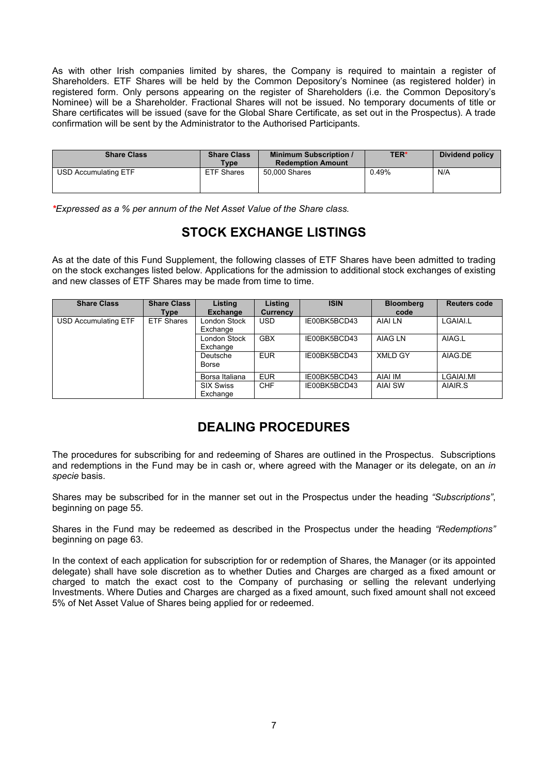As with other Irish companies limited by shares, the Company is required to maintain a register of Shareholders. ETF Shares will be held by the Common Depository's Nominee (as registered holder) in registered form. Only persons appearing on the register of Shareholders (i.e. the Common Depository's Nominee) will be a Shareholder. Fractional Shares will not be issued. No temporary documents of title or Share certificates will be issued (save for the Global Share Certificate, as set out in the Prospectus). A trade confirmation will be sent by the Administrator to the Authorised Participants.

| <b>Share Class</b>          | <b>Share Class</b><br><b>Type</b> | <b>Minimum Subscription /</b><br><b>Redemption Amount</b> | <b>TER*</b> | <b>Dividend policy</b> |
|-----------------------------|-----------------------------------|-----------------------------------------------------------|-------------|------------------------|
| <b>USD Accumulating ETF</b> | <b>ETF Shares</b>                 | 50,000 Shares                                             | 0.49%       | N/A                    |

*\*Expressed as a % per annum of the Net Asset Value of the Share class.* 

# **STOCK EXCHANGE LISTINGS**

As at the date of this Fund Supplement, the following classes of ETF Shares have been admitted to trading on the stock exchanges listed below. Applications for the admission to additional stock exchanges of existing and new classes of ETF Shares may be made from time to time.

| <b>Share Class</b>   | <b>Share Class</b><br>Type | Listing<br><b>Exchange</b>   | Listing<br><b>Currency</b> | <b>ISIN</b>  | <b>Bloomberg</b><br>code | <b>Reuters code</b> |
|----------------------|----------------------------|------------------------------|----------------------------|--------------|--------------------------|---------------------|
| USD Accumulating ETF | <b>ETF Shares</b>          | London Stock<br>Exchange     | USD.                       | IE00BK5BCD43 | AIAI LN                  | LGAIAI.L            |
|                      |                            | London Stock<br>Exchange     | <b>GBX</b>                 | IE00BK5BCD43 | AIAG LN                  | AIAG.L              |
|                      |                            | Deutsche<br>Borse            | <b>EUR</b>                 | IE00BK5BCD43 | <b>XMLD GY</b>           | AIAG.DE             |
|                      |                            | Borsa Italiana               | <b>EUR</b>                 | IE00BK5BCD43 | <b>AIAI IM</b>           | LGAIAI.MI           |
|                      |                            | <b>SIX Swiss</b><br>Exchange | <b>CHF</b>                 | IE00BK5BCD43 | AIAI SW                  | AIAIR.S             |

# **DEALING PROCEDURES**

The procedures for subscribing for and redeeming of Shares are outlined in the Prospectus. Subscriptions and redemptions in the Fund may be in cash or, where agreed with the Manager or its delegate, on an *in specie* basis.

Shares may be subscribed for in the manner set out in the Prospectus under the heading *"Subscriptions"*, beginning on page 55.

Shares in the Fund may be redeemed as described in the Prospectus under the heading *"Redemptions"* beginning on page 63.

In the context of each application for subscription for or redemption of Shares, the Manager (or its appointed delegate) shall have sole discretion as to whether Duties and Charges are charged as a fixed amount or charged to match the exact cost to the Company of purchasing or selling the relevant underlying Investments. Where Duties and Charges are charged as a fixed amount, such fixed amount shall not exceed 5% of Net Asset Value of Shares being applied for or redeemed.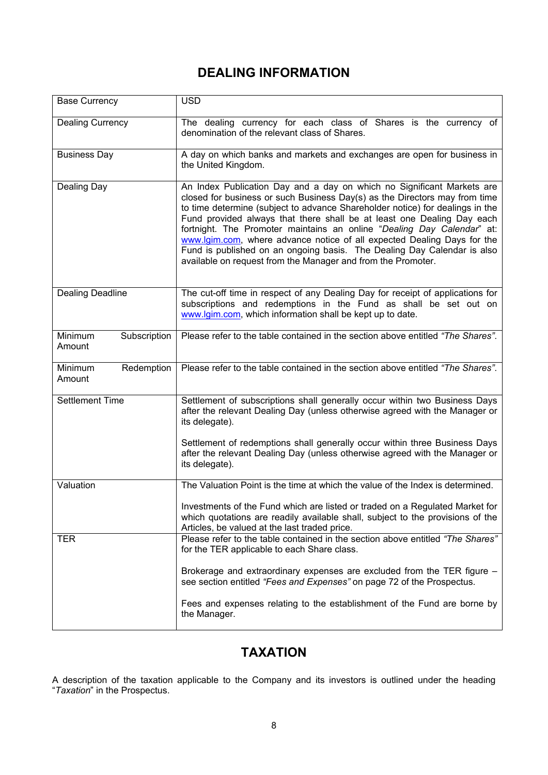# **DEALING INFORMATION**

| <b>Base Currency</b>              | <b>USD</b>                                                                                                                                                                                                                                                                                                                                                                                                                                                                                                                                                                                                      |  |
|-----------------------------------|-----------------------------------------------------------------------------------------------------------------------------------------------------------------------------------------------------------------------------------------------------------------------------------------------------------------------------------------------------------------------------------------------------------------------------------------------------------------------------------------------------------------------------------------------------------------------------------------------------------------|--|
| <b>Dealing Currency</b>           | The dealing currency for each class of Shares is the currency of<br>denomination of the relevant class of Shares.                                                                                                                                                                                                                                                                                                                                                                                                                                                                                               |  |
| <b>Business Day</b>               | A day on which banks and markets and exchanges are open for business in<br>the United Kingdom.                                                                                                                                                                                                                                                                                                                                                                                                                                                                                                                  |  |
| Dealing Day                       | An Index Publication Day and a day on which no Significant Markets are<br>closed for business or such Business Day(s) as the Directors may from time<br>to time determine (subject to advance Shareholder notice) for dealings in the<br>Fund provided always that there shall be at least one Dealing Day each<br>fortnight. The Promoter maintains an online "Dealing Day Calendar" at:<br>www.lgim.com, where advance notice of all expected Dealing Days for the<br>Fund is published on an ongoing basis. The Dealing Day Calendar is also<br>available on request from the Manager and from the Promoter. |  |
| <b>Dealing Deadline</b>           | The cut-off time in respect of any Dealing Day for receipt of applications for<br>subscriptions and redemptions in the Fund as shall be set out on<br>www.lgim.com, which information shall be kept up to date.                                                                                                                                                                                                                                                                                                                                                                                                 |  |
| Minimum<br>Subscription<br>Amount | Please refer to the table contained in the section above entitled "The Shares".                                                                                                                                                                                                                                                                                                                                                                                                                                                                                                                                 |  |
| Minimum<br>Redemption<br>Amount   | Please refer to the table contained in the section above entitled "The Shares".                                                                                                                                                                                                                                                                                                                                                                                                                                                                                                                                 |  |
| <b>Settlement Time</b>            | Settlement of subscriptions shall generally occur within two Business Days<br>after the relevant Dealing Day (unless otherwise agreed with the Manager or<br>its delegate).                                                                                                                                                                                                                                                                                                                                                                                                                                     |  |
|                                   | Settlement of redemptions shall generally occur within three Business Days<br>after the relevant Dealing Day (unless otherwise agreed with the Manager or<br>its delegate).                                                                                                                                                                                                                                                                                                                                                                                                                                     |  |
| Valuation                         | The Valuation Point is the time at which the value of the Index is determined.                                                                                                                                                                                                                                                                                                                                                                                                                                                                                                                                  |  |
|                                   | Investments of the Fund which are listed or traded on a Regulated Market for<br>which quotations are readily available shall, subject to the provisions of the<br>Articles, be valued at the last traded price.                                                                                                                                                                                                                                                                                                                                                                                                 |  |
| <b>TER</b>                        | Please refer to the table contained in the section above entitled "The Shares"<br>for the TER applicable to each Share class.                                                                                                                                                                                                                                                                                                                                                                                                                                                                                   |  |
|                                   | Brokerage and extraordinary expenses are excluded from the TER figure -<br>see section entitled "Fees and Expenses" on page 72 of the Prospectus.                                                                                                                                                                                                                                                                                                                                                                                                                                                               |  |
|                                   | Fees and expenses relating to the establishment of the Fund are borne by                                                                                                                                                                                                                                                                                                                                                                                                                                                                                                                                        |  |

# **TAXATION**

A description of the taxation applicable to the Company and its investors is outlined under the heading "*Taxation*" in the Prospectus.